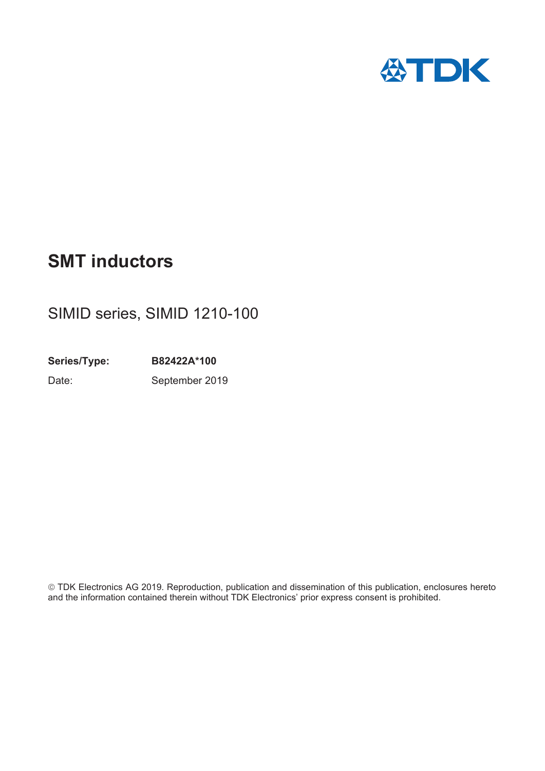

# **SMT inductors**

# SIMID series, SIMID 1210-100

**Series/Type: B82422A\*100** Date: September 2019

¤TDK Electronics AG 2019. Reproduction, publication and dissemination of this publication, enclosures hereto and the information contained therein without TDK Electronics' prior express consent is prohibited.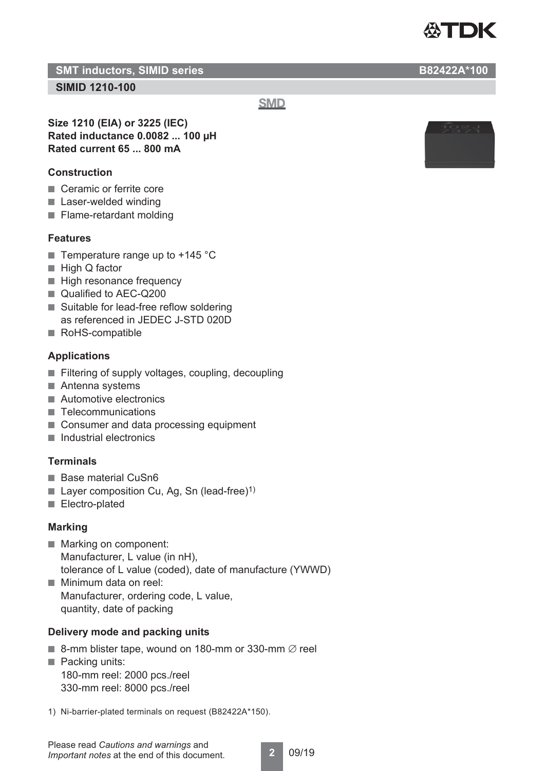

**SMT inductors, SIMID series B82422A\*100** 

# **SIMID 1210-100**

**SMD** 

**Size 1210 (EIA) or 3225 (IEC) Rated inductance 0.0082 ... 100 μH Rated current 65 ... 800 mA**

# **Construction**

- Ceramic or ferrite core
- Laser-welded winding
- Flame-retardant molding

## **Features**

- Temperature range up to  $+145$  °C
- High Q factor
- High resonance frequency
- Qualified to AEC-Q200
- Suitable for lead-free reflow soldering as referenced in JEDEC J-STD 020D
- RoHS-compatible

## **Applications**

- Filtering of supply voltages, coupling, decoupling
- Antenna systems
- Automotive electronics
- Telecommunications
- Consumer and data processing equipment
- Industrial electronics

## **Terminals**

- Base material CuSn6
- **Layer composition Cu, Ag, Sn (lead-free)**<sup>1)</sup>
- Electro-plated

## **Marking**

- Marking on component: Manufacturer, L value (in nH), tolerance of L value (coded), date of manufacture (YWWD)
- Minimum data on reel: Manufacturer, ordering code, L value, quantity, date of packing

## **Delivery mode and packing units**

- 8-mm blister tape, wound on 180-mm or 330-mm  $\varnothing$  reel
- Packing units: 180-mm reel: 2000 pcs./reel 330-mm reel: 8000 pcs./reel
- 1) Ni-barrier-plated terminals on request (B82422A\*150).





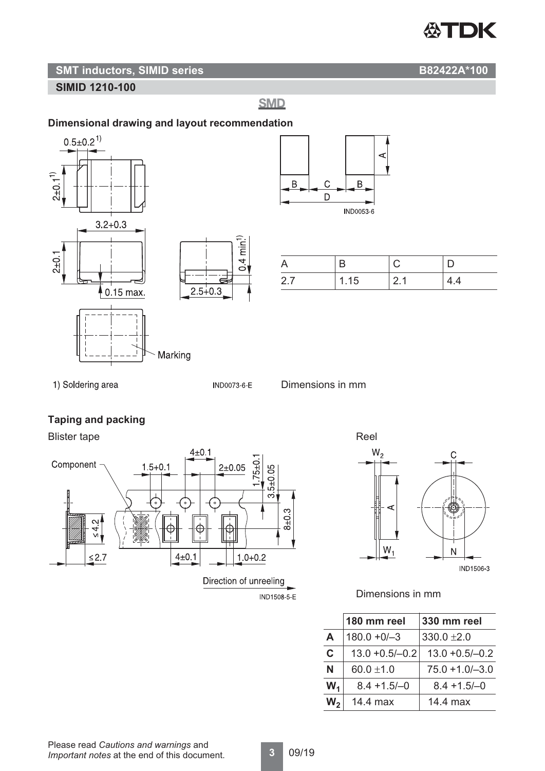# **公TDK**

# **SMT inductors, SIMID series B82422A\*100**

# **SIMID 1210-100**

**SMD** 

# **Dimensional drawing and layout recommendation**





| 27 | 1.15 | -21 | 4.4 |
|----|------|-----|-----|

1) Soldering area

IND0073-6-E

 $0.4 \text{ min}^{1}$ 



# **Taping and packing**

# Blister tape Reel





## Dimensions in mm

|                | 180 mm reel       | 330 mm reel        |
|----------------|-------------------|--------------------|
| A              | $180.0 + 0/-3$    | $330.0 \pm 2.0$    |
| C              | $13.0 + 0.5/-0.2$ | $13.0 + 0.5/-0.2$  |
| N              | 60.0 $\pm$ 1.0    | $75.0 + 1.0 - 3.0$ |
| $W_1$          | $8.4 + 1.5/-0$    | $8.4 + 1.5/-0$     |
| $\mathsf{W}_2$ | 14.4 max          | 14.4 max           |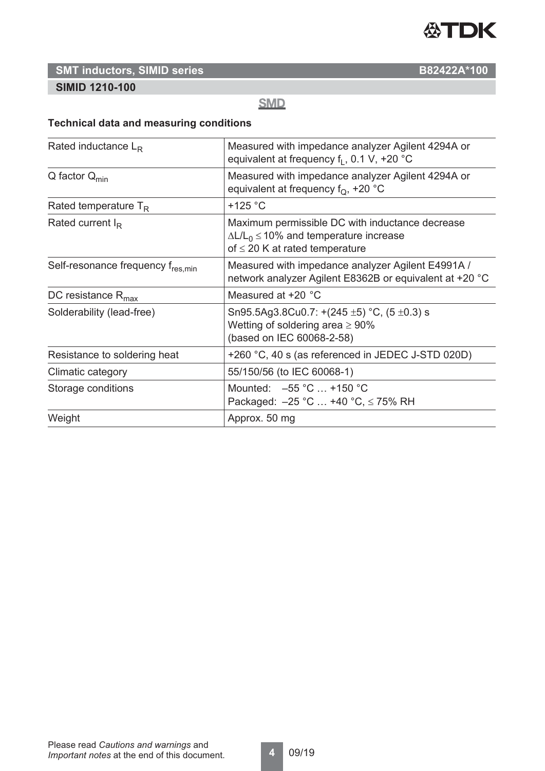

# **SMT inductors, SIMID series B82422A\*100**

# **SIMID 1210-100**

# **SMD**

# **Technical data and measuring conditions**

| Rated inductance $L_R$            | Measured with impedance analyzer Agilent 4294A or<br>equivalent at frequency $f_1$ , 0.1 V, +20 °C                                          |
|-----------------------------------|---------------------------------------------------------------------------------------------------------------------------------------------|
| $Q$ factor $Q_{min}$              | Measured with impedance analyzer Agilent 4294A or<br>equivalent at frequency $f_{\Omega}$ , +20 °C                                          |
| Rated temperature $T_R$           | $+125$ °C                                                                                                                                   |
| Rated current $I_R$               | Maximum permissible DC with inductance decrease<br>$\Delta L/L_0 \leq 10\%$ and temperature increase<br>of $\leq$ 20 K at rated temperature |
| Self-resonance frequency fres.min | Measured with impedance analyzer Agilent E4991A /<br>network analyzer Agilent E8362B or equivalent at +20 °C                                |
| DC resistance $R_{\text{max}}$    | Measured at +20 °C                                                                                                                          |
| Solderability (lead-free)         | Sn95.5Ag3.8Cu0.7: +(245 $\pm$ 5) °C, (5 $\pm$ 0.3) s<br>Wetting of soldering area $\geq 90\%$<br>(based on IEC 60068-2-58)                  |
| Resistance to soldering heat      | +260 °C, 40 s (as referenced in JEDEC J-STD 020D)                                                                                           |
| Climatic category                 | 55/150/56 (to IEC 60068-1)                                                                                                                  |
| Storage conditions                | Mounted: $-55$ °C  +150 °C<br>Packaged: $-25$ °C  +40 °C, $\leq$ 75% RH                                                                     |
| Weight                            | Approx. 50 mg                                                                                                                               |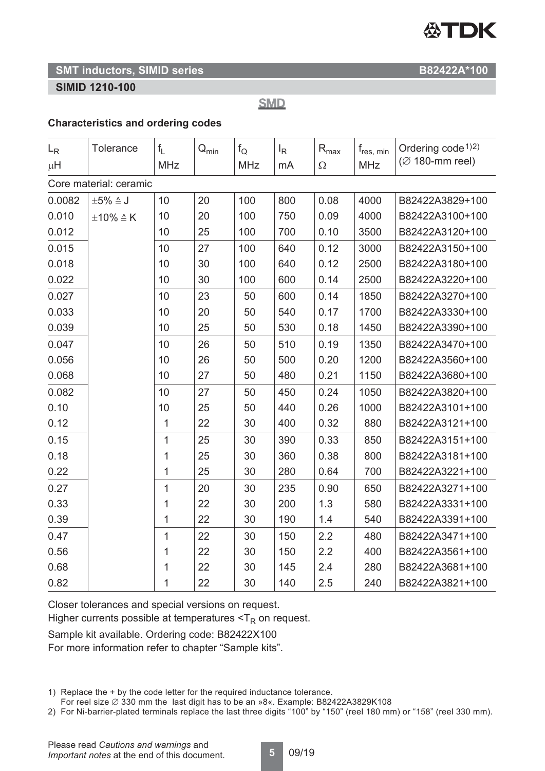# **公TDK**

# **SMT inductors, SIMID series B82422A\*100**

# **SIMID 1210-100**

**SMD** 

# **Characteristics and ordering codes**

| $L_R$                  | <b>Tolerance</b>        | $f_1$      | $\mathsf{Q}_{\mathsf{min}}$ | $f_{\rm O}$ | $I_R$ | $\mathsf{R}_{\text{max}}$ | $f_{res, min}$ | Ordering $code^{1/2}$          |
|------------------------|-------------------------|------------|-----------------------------|-------------|-------|---------------------------|----------------|--------------------------------|
| μH                     |                         | <b>MHz</b> |                             | <b>MHz</b>  | mA    | $\Omega$                  | <b>MHz</b>     | $($ $\varnothing$ 180-mm reel) |
| Core material: ceramic |                         |            |                             |             |       |                           |                |                                |
| 0.0082                 | $\pm 5\% \triangleq J$  | 10         | 20                          | 100         | 800   | 0.08                      | 4000           | B82422A3829+100                |
| 0.010                  | $\pm 10\% \triangleq K$ | 10         | 20                          | 100         | 750   | 0.09                      | 4000           | B82422A3100+100                |
| 0.012                  |                         | 10         | 25                          | 100         | 700   | 0.10                      | 3500           | B82422A3120+100                |
| 0.015                  |                         | 10         | 27                          | 100         | 640   | 0.12                      | 3000           | B82422A3150+100                |
| 0.018                  |                         | 10         | 30                          | 100         | 640   | 0.12                      | 2500           | B82422A3180+100                |
| 0.022                  |                         | 10         | 30                          | 100         | 600   | 0.14                      | 2500           | B82422A3220+100                |
| 0.027                  |                         | 10         | 23                          | 50          | 600   | 0.14                      | 1850           | B82422A3270+100                |
| 0.033                  |                         | 10         | 20                          | 50          | 540   | 0.17                      | 1700           | B82422A3330+100                |
| 0.039                  |                         | 10         | 25                          | 50          | 530   | 0.18                      | 1450           | B82422A3390+100                |
| 0.047                  |                         | 10         | 26                          | 50          | 510   | 0.19                      | 1350           | B82422A3470+100                |
| 0.056                  |                         | 10         | 26                          | 50          | 500   | 0.20                      | 1200           | B82422A3560+100                |
| 0.068                  |                         | 10         | 27                          | 50          | 480   | 0.21                      | 1150           | B82422A3680+100                |
| 0.082                  |                         | 10         | 27                          | 50          | 450   | 0.24                      | 1050           | B82422A3820+100                |
| 0.10                   |                         | 10         | 25                          | 50          | 440   | 0.26                      | 1000           | B82422A3101+100                |
| 0.12                   |                         | 1          | 22                          | 30          | 400   | 0.32                      | 880            | B82422A3121+100                |
| 0.15                   |                         | 1          | 25                          | 30          | 390   | 0.33                      | 850            | B82422A3151+100                |
| 0.18                   |                         | 1          | 25                          | 30          | 360   | 0.38                      | 800            | B82422A3181+100                |
| 0.22                   |                         | 1          | 25                          | 30          | 280   | 0.64                      | 700            | B82422A3221+100                |
| 0.27                   |                         | 1          | 20                          | 30          | 235   | 0.90                      | 650            | B82422A3271+100                |
| 0.33                   |                         | 1          | 22                          | 30          | 200   | 1.3                       | 580            | B82422A3331+100                |
| 0.39                   |                         | 1          | 22                          | 30          | 190   | 1.4                       | 540            | B82422A3391+100                |
| 0.47                   |                         | 1          | 22                          | 30          | 150   | 2.2                       | 480            | B82422A3471+100                |
| 0.56                   |                         | 1          | 22                          | 30          | 150   | 2.2                       | 400            | B82422A3561+100                |
| 0.68                   |                         | 1          | 22                          | 30          | 145   | 2.4                       | 280            | B82422A3681+100                |
| 0.82                   |                         | 1          | 22                          | 30          | 140   | 2.5                       | 240            | B82422A3821+100                |

Closer tolerances and special versions on request.

Higher currents possible at temperatures  $\leq T_R$  on request.

Sample kit available. Ordering code: B82422X100 For more information refer to chapter "Sample kits".

1) Replace the + by the code letter for the required inductance tolerance.

For reel size  $\emptyset$  330 mm the last digit has to be an »8«. Example: B82422A3829K108

2) For Ni-barrier-plated terminals replace the last three digits "100" by "150" (reel 180 mm) or "158" (reel 330 mm).

**5** 09/19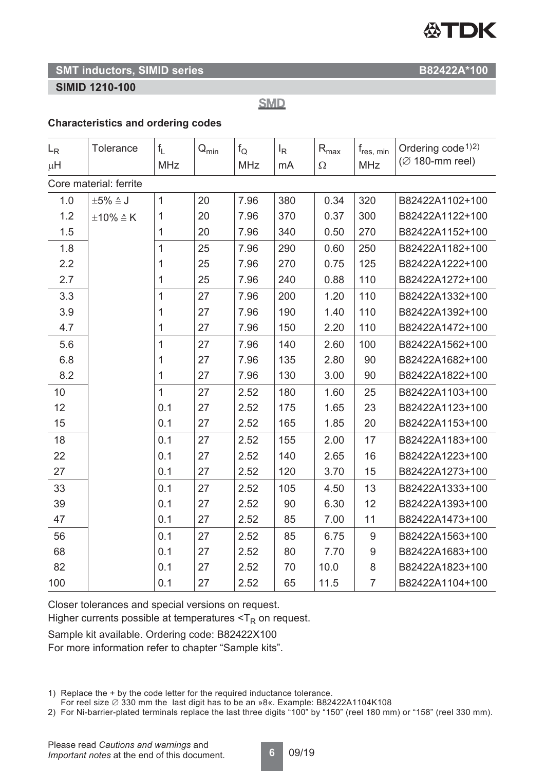# **公TDK**

# **SMT inductors, SIMID series B82422A\*100**

# **SIMID 1210-100**

**SMD** 

# **Characteristics and ordering codes**

| $L_{R}$                | <b>Tolerance</b>        | $f_{L}$        | $\mathsf{Q}_{\mathsf{min}}$ | $f_{\rm Q}$ | $I_R$ | $R_{\text{max}}$ | $f_{\rm res, \ min}$ | Ordering $code^{1/2}$ |
|------------------------|-------------------------|----------------|-----------------------------|-------------|-------|------------------|----------------------|-----------------------|
| μH                     |                         | <b>MHz</b>     |                             | <b>MHz</b>  | mA    | $\Omega$         | <b>MHz</b>           | $($ Ø 180-mm reel)    |
| Core material: ferrite |                         |                |                             |             |       |                  |                      |                       |
| 1.0                    | $\pm 5\% \triangleq J$  | $\mathbf{1}$   | 20                          | 7.96        | 380   | 0.34             | 320                  | B82422A1102+100       |
| 1.2                    | $\pm 10\% \triangleq K$ | 1              | 20                          | 7.96        | 370   | 0.37             | 300                  | B82422A1122+100       |
| 1.5                    |                         | $\mathbf{1}$   | 20                          | 7.96        | 340   | 0.50             | 270                  | B82422A1152+100       |
| 1.8                    |                         | $\overline{1}$ | 25                          | 7.96        | 290   | 0.60             | 250                  | B82422A1182+100       |
| 2.2                    |                         | 1              | 25                          | 7.96        | 270   | 0.75             | 125                  | B82422A1222+100       |
| 2.7                    |                         | 1              | 25                          | 7.96        | 240   | 0.88             | 110                  | B82422A1272+100       |
| 3.3                    |                         | $\mathbf{1}$   | 27                          | 7.96        | 200   | 1.20             | 110                  | B82422A1332+100       |
| 3.9                    |                         | 1              | 27                          | 7.96        | 190   | 1.40             | 110                  | B82422A1392+100       |
| 4.7                    |                         | 1              | 27                          | 7.96        | 150   | 2.20             | 110                  | B82422A1472+100       |
| 5.6                    |                         | $\mathbf{1}$   | 27                          | 7.96        | 140   | 2.60             | 100                  | B82422A1562+100       |
| 6.8                    |                         | 1              | 27                          | 7.96        | 135   | 2.80             | 90                   | B82422A1682+100       |
| 8.2                    |                         | 1              | 27                          | 7.96        | 130   | 3.00             | 90                   | B82422A1822+100       |
| 10                     |                         | $\mathbf{1}$   | 27                          | 2.52        | 180   | 1.60             | 25                   | B82422A1103+100       |
| 12                     |                         | 0.1            | 27                          | 2.52        | 175   | 1.65             | 23                   | B82422A1123+100       |
| 15                     |                         | 0.1            | 27                          | 2.52        | 165   | 1.85             | 20                   | B82422A1153+100       |
| 18                     |                         | 0.1            | 27                          | 2.52        | 155   | 2.00             | 17                   | B82422A1183+100       |
| 22                     |                         | 0.1            | 27                          | 2.52        | 140   | 2.65             | 16                   | B82422A1223+100       |
| 27                     |                         | 0.1            | 27                          | 2.52        | 120   | 3.70             | 15                   | B82422A1273+100       |
| 33                     |                         | 0.1            | 27                          | 2.52        | 105   | 4.50             | 13                   | B82422A1333+100       |
| 39                     |                         | 0.1            | 27                          | 2.52        | 90    | 6.30             | 12                   | B82422A1393+100       |
| 47                     |                         | 0.1            | 27                          | 2.52        | 85    | 7.00             | 11                   | B82422A1473+100       |
| 56                     |                         | 0.1            | 27                          | 2.52        | 85    | 6.75             | 9                    | B82422A1563+100       |
| 68                     |                         | 0.1            | 27                          | 2.52        | 80    | 7.70             | $9\,$                | B82422A1683+100       |
| 82                     |                         | 0.1            | 27                          | 2.52        | 70    | 10.0             | $\,8\,$              | B82422A1823+100       |
| 100                    |                         | 0.1            | 27                          | 2.52        | 65    | 11.5             | $\overline{7}$       | B82422A1104+100       |

Closer tolerances and special versions on request.

Higher currents possible at temperatures  $\leq T_R$  on request.

Sample kit available. Ordering code: B82422X100 For more information refer to chapter "Sample kits".

1) Replace the + by the code letter for the required inductance tolerance.

For reel size  $\varnothing$  330 mm the last digit has to be an »8«. Example: B82422A1104K108

2) For Ni-barrier-plated terminals replace the last three digits "100" by "150" (reel 180 mm) or "158" (reel 330 mm).

**6** 09/19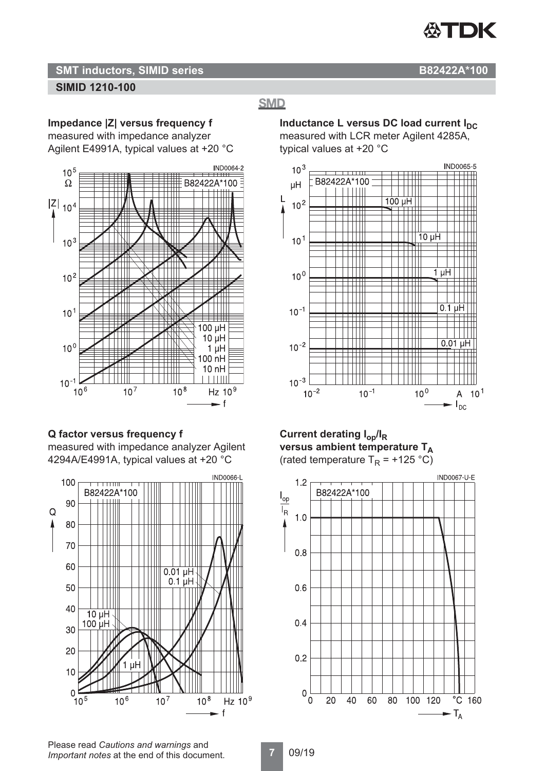

# **SMT inductors, SIMID series B82422A\*100**

# **SIMID 1210-100**

**Impedance |Z| versus frequency f**

measured with impedance analyzer

Agilent E4991A, typical values at +20 °C



## **Q factor versus frequency f**

measured with impedance analyzer Agilent 4294A/E4991A, typical values at +20 °C



**Inductance L versus DC load current I<sub>DC</sub>** measured with LCR meter Agilent 4285A, typical values at +20 °C

**SMD** 



**Current derating Iop/IR** versus ambient temperature T<sub>A</sub> (rated temperature  $T_R$  = +125 °C)



Please read *Cautions and warnings* and *Important notes* at the end of this document.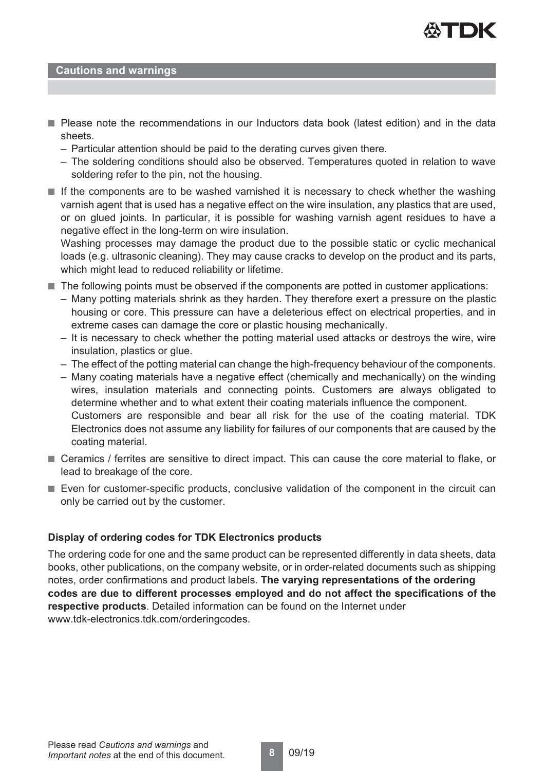

#### **Cautions and warnings**

- Please note the recommendations in our Inductors data book (latest edition) and in the data sheets.
	- Particular attention should be paid to the derating curves given there.
	- The soldering conditions should also be observed. Temperatures quoted in relation to wave soldering refer to the pin, not the housing.
- If the components are to be washed varnished it is necessary to check whether the washing varnish agent that is used has a negative effect on the wire insulation, any plastics that are used, or on glued joints. In particular, it is possible for washing varnish agent residues to have a negative effect in the long-term on wire insulation.

Washing processes may damage the product due to the possible static or cyclic mechanical loads (e.g. ultrasonic cleaning). They may cause cracks to develop on the product and its parts, which might lead to reduced reliability or lifetime.

- The following points must be observed if the components are potted in customer applications:
	- Many potting materials shrink as they harden. They therefore exert a pressure on the plastic housing or core. This pressure can have a deleterious effect on electrical properties, and in extreme cases can damage the core or plastic housing mechanically.
	- It is necessary to check whether the potting material used attacks or destroys the wire, wire insulation, plastics or glue.
	- The effect of the potting material can change the high-frequency behaviour of the components.
	- Many coating materials have a negative effect (chemically and mechanically) on the winding wires, insulation materials and connecting points. Customers are always obligated to determine whether and to what extent their coating materials influence the component. Customers are responsible and bear all risk for the use of the coating material. TDK Electronics does not assume any liability for failures of our components that are caused by the coating material.
- Ceramics / ferrites are sensitive to direct impact. This can cause the core material to flake, or lead to breakage of the core.
- Even for customer-specific products, conclusive validation of the component in the circuit can only be carried out by the customer.

#### **Display of ordering codes for TDK Electronics products**

The ordering code for one and the same product can be represented differently in data sheets, data books, other publications, on the company website, or in order-related documents such as shipping notes, order confirmations and product labels. **The varying representations of the ordering codes are due to different processes employed and do not affect the specifications of the respective products**. Detailed information can be found on the Internet under www.tdk-electronics.tdk.com/orderingcodes.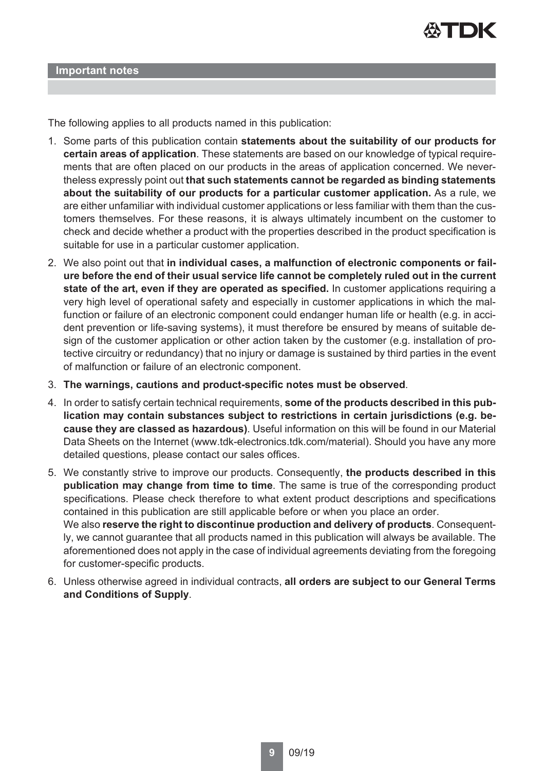

The following applies to all products named in this publication:

- 1. Some parts of this publication contain **statements about the suitability of our products for certain areas of application**. These statements are based on our knowledge of typical requirements that are often placed on our products in the areas of application concerned. We nevertheless expressly point out **that such statements cannot be regarded as binding statements about the suitability of our products for a particular customer application.** As a rule, we are either unfamiliar with individual customer applications or less familiar with them than the customers themselves. For these reasons, it is always ultimately incumbent on the customer to check and decide whether a product with the properties described in the product specification is suitable for use in a particular customer application.
- 2. We also point out that **in individual cases, a malfunction of electronic components or failure before the end of their usual service life cannot be completely ruled out in the current state of the art, even if they are operated as specified.** In customer applications requiring a very high level of operational safety and especially in customer applications in which the malfunction or failure of an electronic component could endanger human life or health (e.g. in accident prevention or life-saving systems), it must therefore be ensured by means of suitable design of the customer application or other action taken by the customer (e.g. installation of protective circuitry or redundancy) that no injury or damage is sustained by third parties in the event of malfunction or failure of an electronic component.
- 3. **The warnings, cautions and product-specific notes must be observed**.
- 4. In order to satisfy certain technical requirements, **some of the products described in this publication may contain substances subject to restrictions in certain jurisdictions (e.g. because they are classed as hazardous)**. Useful information on this will be found in our Material Data Sheets on the Internet (www.tdk-electronics.tdk.com/material). Should you have any more detailed questions, please contact our sales offices.
- 5. We constantly strive to improve our products. Consequently, **the products described in this publication may change from time to time**. The same is true of the corresponding product specifications. Please check therefore to what extent product descriptions and specifications contained in this publication are still applicable before or when you place an order. We also **reserve the right to discontinue production and delivery of products**. Consequently, we cannot guarantee that all products named in this publication will always be available. The aforementioned does not apply in the case of individual agreements deviating from the foregoing for customer-specific products.
- 6. Unless otherwise agreed in individual contracts, **all orders are subject to our General Terms and Conditions of Supply**.